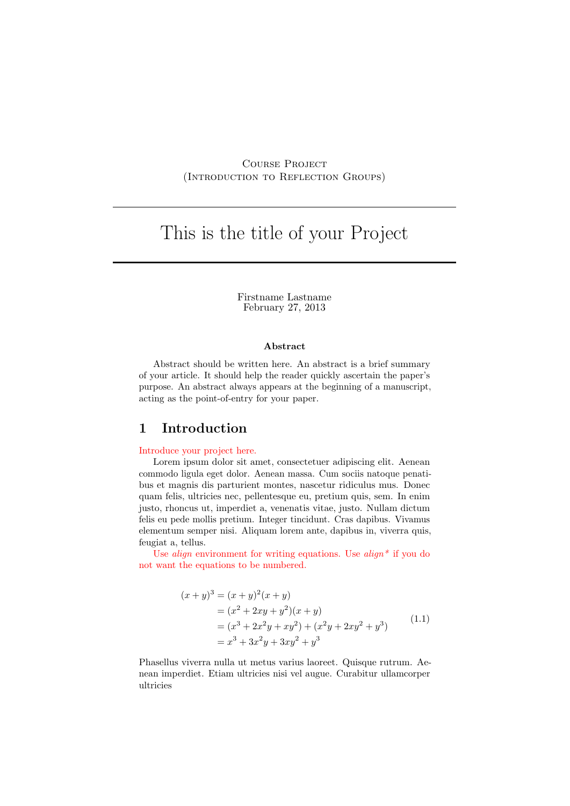# Course Project (Introduction to Reflection Groups)

# This is the title of your Project

Firstname Lastname February 27, 2013

#### Abstract

Abstract should be written here. An abstract is a brief summary of your article. It should help the reader quickly ascertain the paper's purpose. An abstract always appears at the beginning of a manuscript, acting as the point-of-entry for your paper.

# 1 Introduction

#### Introduce your project here.

Lorem ipsum dolor sit amet, consectetuer adipiscing elit. Aenean commodo ligula eget dolor. Aenean massa. Cum sociis natoque penatibus et magnis dis parturient montes, nascetur ridiculus mus. Donec quam felis, ultricies nec, pellentesque eu, pretium quis, sem. In enim justo, rhoncus ut, imperdiet a, venenatis vitae, justo. Nullam dictum felis eu pede mollis pretium. Integer tincidunt. Cras dapibus. Vivamus elementum semper nisi. Aliquam lorem ante, dapibus in, viverra quis, feugiat a, tellus.

Use *align* environment for writing equations. Use  $\alpha \leq \alpha \leq \alpha$  if you do not want the equations to be numbered.

$$
(x + y)3 = (x + y)2(x + y)
$$
  
=  $(x2 + 2xy + y2)(x + y)$   
=  $(x3 + 2x2y + xy2) + (x2y + 2xy2 + y3)$  (1.1)  
=  $x3 + 3x2y + 3xy2 + y3$ 

Phasellus viverra nulla ut metus varius laoreet. Quisque rutrum. Aenean imperdiet. Etiam ultricies nisi vel augue. Curabitur ullamcorper ultricies